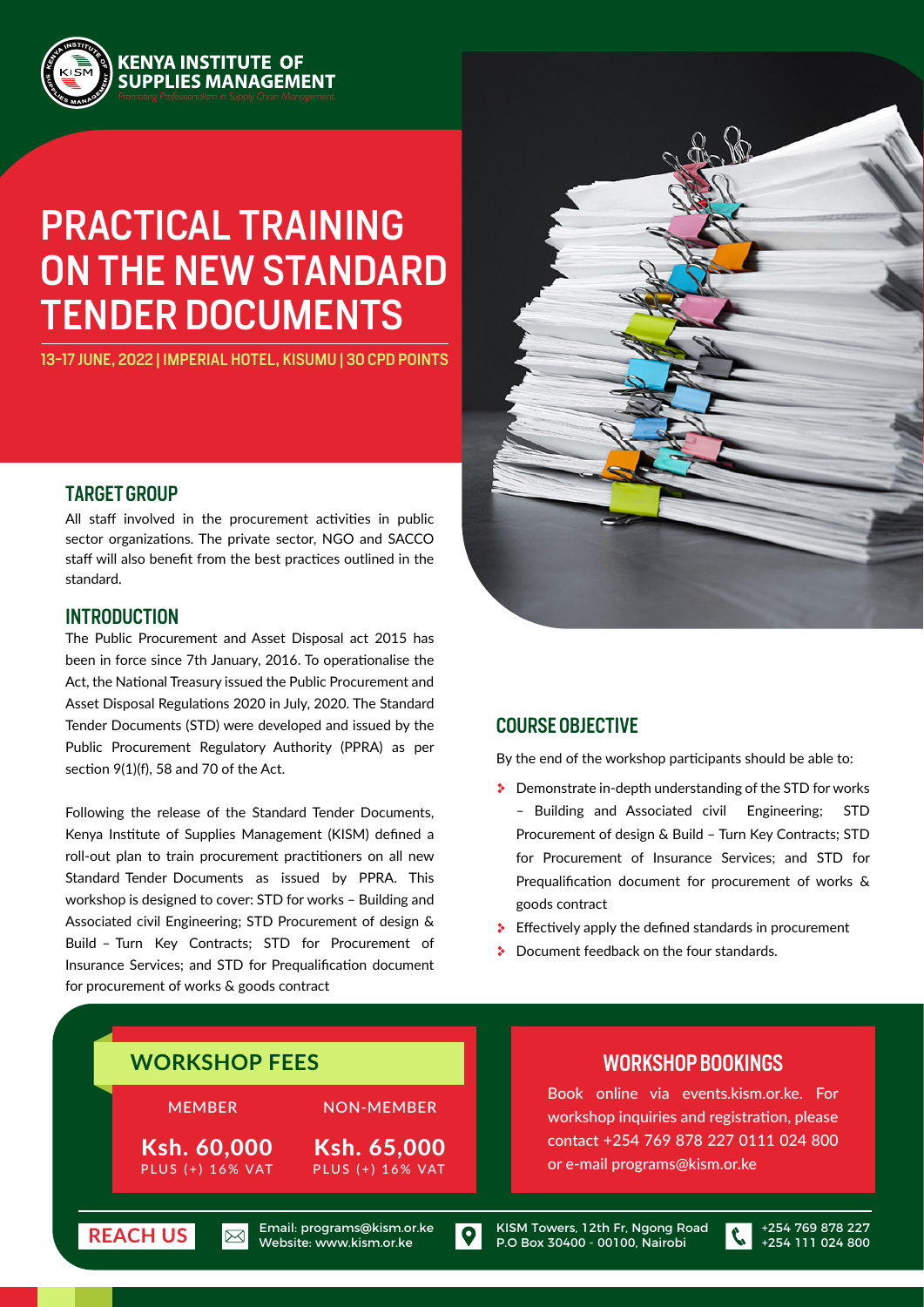

# PRACTICAL TRAINING ON THE NEW STANDARD TENDER DOCUMENTS

13-17 JUNE, 2022 | IMPERIAL HOTEL, KISUMU | 30 CPD POINTS

### TARGET GROUP

All staff involved in the procurement activities in public sector organizations. The private sector, NGO and SACCO staff will also benefit from the best practices outlined in the standard.

#### INTRODUCTION

The Public Procurement and Asset Disposal act 2015 has been in force since 7th January, 2016. To operationalise the Act, the National Treasury issued the Public Procurement and Asset Disposal Regulations 2020 in July, 2020. The Standard Tender Documents (STD) were developed and issued by the Public Procurement Regulatory Authority (PPRA) as per section 9(1)(f), 58 and 70 of the Act.

Following the release of the Standard Tender Documents, Kenya Institute of Supplies Management (KISM) defined a roll-out plan to train procurement practitioners on all new Standard Tender Documents as issued by PPRA. This workshop is designed to cover: STD for works – Building and Associated civil Engineering; STD Procurement of design & Build – Turn Key Contracts; STD for Procurement of Insurance Services; and STD for Prequalification document for procurement of works & goods contract



### COURSE OBJECTIVE

By the end of the workshop participants should be able to:

- Demonstrate in-depth understanding of the STD for works – Building and Associated civil Engineering; STD Procurement of design & Build – Turn Key Contracts; STD for Procurement of Insurance Services; and STD for Prequalification document for procurement of works & goods contract
- $\bullet$  Effectively apply the defined standards in procurement
- **Document feedback on the four standards.**